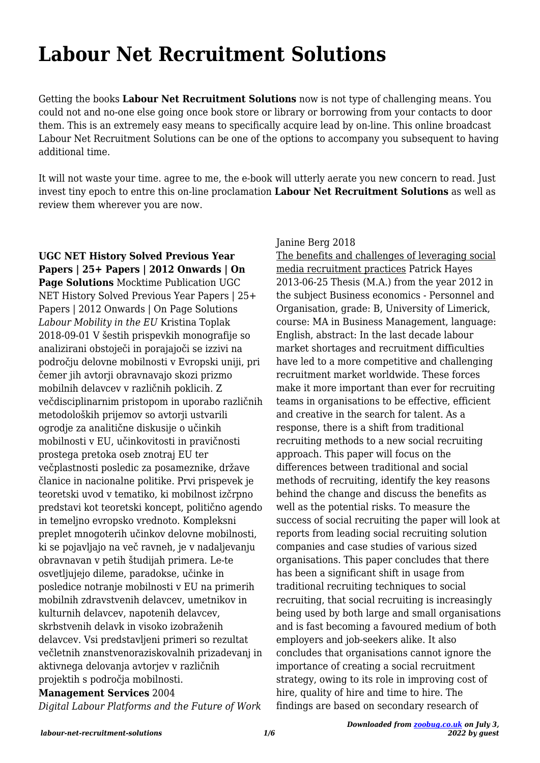# **Labour Net Recruitment Solutions**

Getting the books **Labour Net Recruitment Solutions** now is not type of challenging means. You could not and no-one else going once book store or library or borrowing from your contacts to door them. This is an extremely easy means to specifically acquire lead by on-line. This online broadcast Labour Net Recruitment Solutions can be one of the options to accompany you subsequent to having additional time.

It will not waste your time. agree to me, the e-book will utterly aerate you new concern to read. Just invest tiny epoch to entre this on-line proclamation **Labour Net Recruitment Solutions** as well as review them wherever you are now.

**UGC NET History Solved Previous Year Papers | 25+ Papers | 2012 Onwards | On Page Solutions** Mocktime Publication UGC NET History Solved Previous Year Papers | 25+ Papers | 2012 Onwards | On Page Solutions *Labour Mobility in the EU* Kristina Toplak 2018-09-01 V šestih prispevkih monografije so analizirani obstoječi in porajajoči se izzivi na področju delovne mobilnosti v Evropski uniji, pri čemer jih avtorji obravnavajo skozi prizmo mobilnih delavcev v različnih poklicih. Z večdisciplinarnim pristopom in uporabo različnih metodoloških prijemov so avtorji ustvarili ogrodje za analitične diskusije o učinkih mobilnosti v EU, učinkovitosti in pravičnosti prostega pretoka oseb znotraj EU ter večplastnosti posledic za posameznike, države članice in nacionalne politike. Prvi prispevek je teoretski uvod v tematiko, ki mobilnost izčrpno predstavi kot teoretski koncept, politično agendo in temeljno evropsko vrednoto. Kompleksni preplet mnogoterih učinkov delovne mobilnosti, ki se pojavljajo na več ravneh, je v nadaljevanju obravnavan v petih študijah primera. Le-te osvetljujejo dileme, paradokse, učinke in posledice notranje mobilnosti v EU na primerih mobilnih zdravstvenih delavcev, umetnikov in kulturnih delavcev, napotenih delavcev, skrbstvenih delavk in visoko izobraženih delavcev. Vsi predstavljeni primeri so rezultat večletnih znanstvenoraziskovalnih prizadevanj in aktivnega delovanja avtorjev v različnih projektih s področja mobilnosti.

### **Management Services** 2004

*Digital Labour Platforms and the Future of Work*

#### Janine Berg 2018

The benefits and challenges of leveraging social media recruitment practices Patrick Hayes 2013-06-25 Thesis (M.A.) from the year 2012 in the subject Business economics - Personnel and Organisation, grade: B, University of Limerick, course: MA in Business Management, language: English, abstract: In the last decade labour market shortages and recruitment difficulties have led to a more competitive and challenging recruitment market worldwide. These forces make it more important than ever for recruiting teams in organisations to be effective, efficient and creative in the search for talent. As a response, there is a shift from traditional recruiting methods to a new social recruiting approach. This paper will focus on the differences between traditional and social methods of recruiting, identify the key reasons behind the change and discuss the benefits as well as the potential risks. To measure the success of social recruiting the paper will look at reports from leading social recruiting solution companies and case studies of various sized organisations. This paper concludes that there has been a significant shift in usage from traditional recruiting techniques to social recruiting, that social recruiting is increasingly being used by both large and small organisations and is fast becoming a favoured medium of both employers and job-seekers alike. It also concludes that organisations cannot ignore the importance of creating a social recruitment strategy, owing to its role in improving cost of hire, quality of hire and time to hire. The findings are based on secondary research of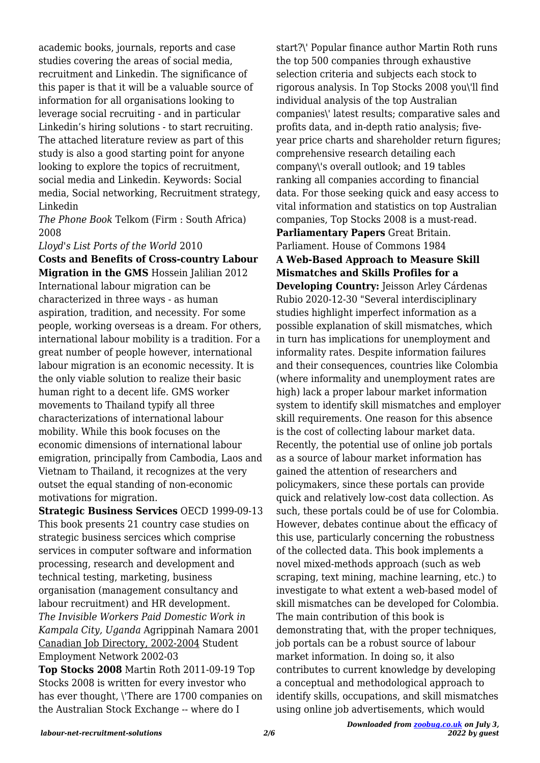academic books, journals, reports and case studies covering the areas of social media, recruitment and Linkedin. The significance of this paper is that it will be a valuable source of information for all organisations looking to leverage social recruiting - and in particular Linkedin's hiring solutions - to start recruiting. The attached literature review as part of this study is also a good starting point for anyone looking to explore the topics of recruitment, social media and Linkedin. Keywords: Social media, Social networking, Recruitment strategy, Linkedin

*The Phone Book* Telkom (Firm : South Africa) 2008

*Lloyd's List Ports of the World* 2010

**Costs and Benefits of Cross-country Labour Migration in the GMS** Hossein Jalilian 2012 International labour migration can be characterized in three ways - as human aspiration, tradition, and necessity. For some people, working overseas is a dream. For others, international labour mobility is a tradition. For a great number of people however, international labour migration is an economic necessity. It is the only viable solution to realize their basic human right to a decent life. GMS worker movements to Thailand typify all three characterizations of international labour mobility. While this book focuses on the economic dimensions of international labour emigration, principally from Cambodia, Laos and Vietnam to Thailand, it recognizes at the very outset the equal standing of non-economic motivations for migration.

**Strategic Business Services** OECD 1999-09-13 This book presents 21 country case studies on strategic business sercices which comprise services in computer software and information processing, research and development and technical testing, marketing, business organisation (management consultancy and labour recruitment) and HR development. *The Invisible Workers Paid Domestic Work in Kampala City, Uganda* Agrippinah Namara 2001 Canadian Job Directory, 2002-2004 Student Employment Network 2002-03 **Top Stocks 2008** Martin Roth 2011-09-19 Top Stocks 2008 is written for every investor who

has ever thought, \'There are 1700 companies on the Australian Stock Exchange -- where do I

start?\' Popular finance author Martin Roth runs the top 500 companies through exhaustive selection criteria and subjects each stock to rigorous analysis. In Top Stocks 2008 you\'ll find individual analysis of the top Australian companies\' latest results; comparative sales and profits data, and in-depth ratio analysis; fiveyear price charts and shareholder return figures; comprehensive research detailing each company\'s overall outlook; and 19 tables ranking all companies according to financial data. For those seeking quick and easy access to vital information and statistics on top Australian companies, Top Stocks 2008 is a must-read. **Parliamentary Papers** Great Britain. Parliament. House of Commons 1984 **A Web-Based Approach to Measure Skill Mismatches and Skills Profiles for a Developing Country:** Jeisson Arley Cárdenas Rubio 2020-12-30 "Several interdisciplinary studies highlight imperfect information as a possible explanation of skill mismatches, which in turn has implications for unemployment and informality rates. Despite information failures and their consequences, countries like Colombia (where informality and unemployment rates are high) lack a proper labour market information system to identify skill mismatches and employer skill requirements. One reason for this absence is the cost of collecting labour market data. Recently, the potential use of online job portals as a source of labour market information has gained the attention of researchers and policymakers, since these portals can provide quick and relatively low-cost data collection. As such, these portals could be of use for Colombia. However, debates continue about the efficacy of this use, particularly concerning the robustness of the collected data. This book implements a novel mixed-methods approach (such as web scraping, text mining, machine learning, etc.) to investigate to what extent a web-based model of skill mismatches can be developed for Colombia. The main contribution of this book is demonstrating that, with the proper techniques, job portals can be a robust source of labour market information. In doing so, it also contributes to current knowledge by developing a conceptual and methodological approach to identify skills, occupations, and skill mismatches using online job advertisements, which would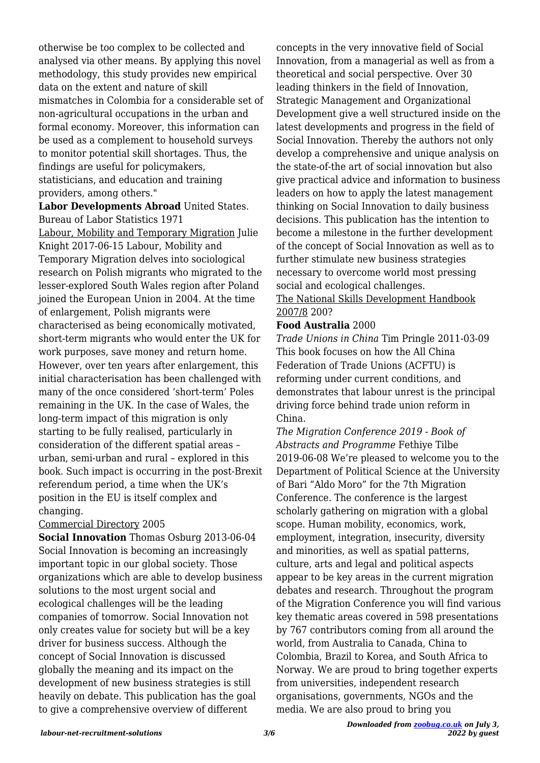otherwise be too complex to be collected and analysed via other means. By applying this novel methodology, this study provides new empirical data on the extent and nature of skill mismatches in Colombia for a considerable set of non-agricultural occupations in the urban and formal economy. Moreover, this information can be used as a complement to household surveys to monitor potential skill shortages. Thus, the findings are useful for policymakers, statisticians, and education and training providers, among others."

## **Labor Developments Abroad** United States. Bureau of Labor Statistics 1971

Labour, Mobility and Temporary Migration Julie Knight 2017-06-15 Labour, Mobility and Temporary Migration delves into sociological research on Polish migrants who migrated to the lesser-explored South Wales region after Poland joined the European Union in 2004. At the time of enlargement, Polish migrants were characterised as being economically motivated, short-term migrants who would enter the UK for work purposes, save money and return home. However, over ten years after enlargement, this initial characterisation has been challenged with many of the once considered 'short-term' Poles remaining in the UK. In the case of Wales, the long-term impact of this migration is only starting to be fully realised, particularly in consideration of the different spatial areas – urban, semi-urban and rural – explored in this book. Such impact is occurring in the post-Brexit referendum period, a time when the UK's position in the EU is itself complex and changing.

#### Commercial Directory 2005

**Social Innovation** Thomas Osburg 2013-06-04 Social Innovation is becoming an increasingly important topic in our global society. Those organizations which are able to develop business solutions to the most urgent social and ecological challenges will be the leading companies of tomorrow. Social Innovation not only creates value for society but will be a key driver for business success. Although the concept of Social Innovation is discussed globally the meaning and its impact on the development of new business strategies is still heavily on debate. This publication has the goal to give a comprehensive overview of different

concepts in the very innovative field of Social Innovation, from a managerial as well as from a theoretical and social perspective. Over 30 leading thinkers in the field of Innovation, Strategic Management and Organizational Development give a well structured inside on the latest developments and progress in the field of Social Innovation. Thereby the authors not only develop a comprehensive and unique analysis on the state-of-the art of social innovation but also give practical advice and information to business leaders on how to apply the latest management thinking on Social Innovation to daily business decisions. This publication has the intention to become a milestone in the further development of the concept of Social Innovation as well as to further stimulate new business strategies necessary to overcome world most pressing social and ecological challenges.

#### The National Skills Development Handbook 2007/8 200?

#### **Food Australia** 2000

*Trade Unions in China* Tim Pringle 2011-03-09 This book focuses on how the All China Federation of Trade Unions (ACFTU) is reforming under current conditions, and demonstrates that labour unrest is the principal driving force behind trade union reform in China.

*The Migration Conference 2019 - Book of Abstracts and Programme* Fethiye Tilbe 2019-06-08 We're pleased to welcome you to the Department of Political Science at the University of Bari "Aldo Moro" for the 7th Migration Conference. The conference is the largest scholarly gathering on migration with a global scope. Human mobility, economics, work, employment, integration, insecurity, diversity and minorities, as well as spatial patterns, culture, arts and legal and political aspects appear to be key areas in the current migration debates and research. Throughout the program of the Migration Conference you will find various key thematic areas covered in 598 presentations by 767 contributors coming from all around the world, from Australia to Canada, China to Colombia, Brazil to Korea, and South Africa to Norway. We are proud to bring together experts from universities, independent research organisations, governments, NGOs and the media. We are also proud to bring you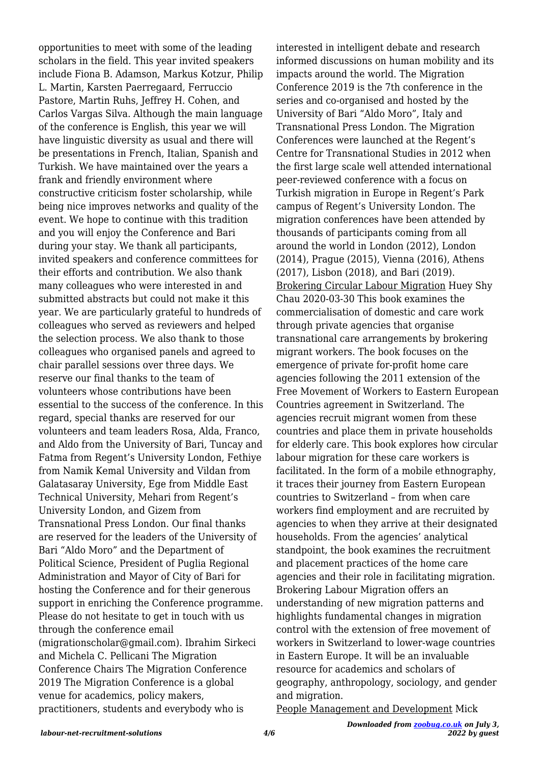opportunities to meet with some of the leading scholars in the field. This year invited speakers include Fiona B. Adamson, Markus Kotzur, Philip L. Martin, Karsten Paerregaard, Ferruccio Pastore, Martin Ruhs, Jeffrey H. Cohen, and Carlos Vargas Silva. Although the main language of the conference is English, this year we will have linguistic diversity as usual and there will be presentations in French, Italian, Spanish and Turkish. We have maintained over the years a frank and friendly environment where constructive criticism foster scholarship, while being nice improves networks and quality of the event. We hope to continue with this tradition and you will enjoy the Conference and Bari during your stay. We thank all participants, invited speakers and conference committees for their efforts and contribution. We also thank many colleagues who were interested in and submitted abstracts but could not make it this year. We are particularly grateful to hundreds of colleagues who served as reviewers and helped the selection process. We also thank to those colleagues who organised panels and agreed to chair parallel sessions over three days. We reserve our final thanks to the team of volunteers whose contributions have been essential to the success of the conference. In this regard, special thanks are reserved for our volunteers and team leaders Rosa, Alda, Franco, and Aldo from the University of Bari, Tuncay and Fatma from Regent's University London, Fethiye from Namik Kemal University and Vildan from Galatasaray University, Ege from Middle East Technical University, Mehari from Regent's University London, and Gizem from Transnational Press London. Our final thanks are reserved for the leaders of the University of Bari "Aldo Moro" and the Department of Political Science, President of Puglia Regional Administration and Mayor of City of Bari for hosting the Conference and for their generous support in enriching the Conference programme. Please do not hesitate to get in touch with us through the conference email (migrationscholar@gmail.com). Ibrahim Sirkeci and Michela C. Pellicani The Migration Conference Chairs The Migration Conference 2019 The Migration Conference is a global venue for academics, policy makers, practitioners, students and everybody who is

interested in intelligent debate and research informed discussions on human mobility and its impacts around the world. The Migration Conference 2019 is the 7th conference in the series and co-organised and hosted by the University of Bari "Aldo Moro", Italy and Transnational Press London. The Migration Conferences were launched at the Regent's Centre for Transnational Studies in 2012 when the first large scale well attended international peer-reviewed conference with a focus on Turkish migration in Europe in Regent's Park campus of Regent's University London. The migration conferences have been attended by thousands of participants coming from all around the world in London (2012), London (2014), Prague (2015), Vienna (2016), Athens (2017), Lisbon (2018), and Bari (2019). Brokering Circular Labour Migration Huey Shy Chau 2020-03-30 This book examines the commercialisation of domestic and care work through private agencies that organise transnational care arrangements by brokering migrant workers. The book focuses on the emergence of private for-profit home care agencies following the 2011 extension of the Free Movement of Workers to Eastern European Countries agreement in Switzerland. The agencies recruit migrant women from these countries and place them in private households for elderly care. This book explores how circular labour migration for these care workers is facilitated. In the form of a mobile ethnography, it traces their journey from Eastern European countries to Switzerland – from when care workers find employment and are recruited by agencies to when they arrive at their designated households. From the agencies' analytical standpoint, the book examines the recruitment and placement practices of the home care agencies and their role in facilitating migration. Brokering Labour Migration offers an understanding of new migration patterns and highlights fundamental changes in migration control with the extension of free movement of workers in Switzerland to lower-wage countries in Eastern Europe. It will be an invaluable resource for academics and scholars of geography, anthropology, sociology, and gender and migration.

People Management and Development Mick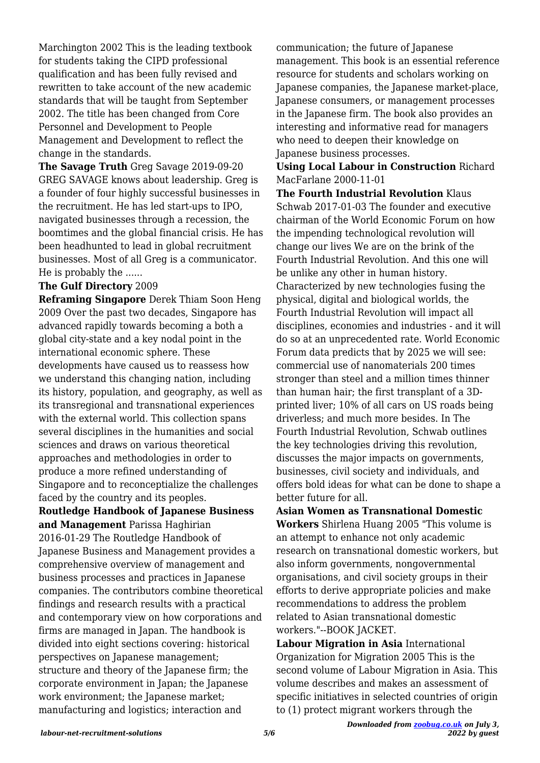Marchington 2002 This is the leading textbook for students taking the CIPD professional qualification and has been fully revised and rewritten to take account of the new academic standards that will be taught from September 2002. The title has been changed from Core Personnel and Development to People Management and Development to reflect the change in the standards.

**The Savage Truth** Greg Savage 2019-09-20 GREG SAVAGE knows about leadership. Greg is a founder of four highly successful businesses in the recruitment. He has led start-ups to IPO, navigated businesses through a recession, the boomtimes and the global financial crisis. He has been headhunted to lead in global recruitment businesses. Most of all Greg is a communicator. He is probably the ......

#### **The Gulf Directory** 2009

**Reframing Singapore** Derek Thiam Soon Heng 2009 Over the past two decades, Singapore has advanced rapidly towards becoming a both a global city-state and a key nodal point in the international economic sphere. These developments have caused us to reassess how we understand this changing nation, including its history, population, and geography, as well as its transregional and transnational experiences with the external world. This collection spans several disciplines in the humanities and social sciences and draws on various theoretical approaches and methodologies in order to produce a more refined understanding of Singapore and to reconceptialize the challenges faced by the country and its peoples. **Routledge Handbook of Japanese Business and Management** Parissa Haghirian 2016-01-29 The Routledge Handbook of Japanese Business and Management provides a comprehensive overview of management and business processes and practices in Japanese companies. The contributors combine theoretical findings and research results with a practical and contemporary view on how corporations and firms are managed in Japan. The handbook is divided into eight sections covering: historical perspectives on Japanese management; structure and theory of the Japanese firm; the corporate environment in Japan; the Japanese work environment; the Japanese market; manufacturing and logistics; interaction and

communication; the future of Japanese management. This book is an essential reference resource for students and scholars working on Japanese companies, the Japanese market-place, Japanese consumers, or management processes in the Japanese firm. The book also provides an interesting and informative read for managers who need to deepen their knowledge on Japanese business processes.

#### **Using Local Labour in Construction** Richard MacFarlane 2000-11-01

**The Fourth Industrial Revolution** Klaus Schwab 2017-01-03 The founder and executive chairman of the World Economic Forum on how the impending technological revolution will change our lives We are on the brink of the Fourth Industrial Revolution. And this one will be unlike any other in human history. Characterized by new technologies fusing the physical, digital and biological worlds, the Fourth Industrial Revolution will impact all disciplines, economies and industries - and it will do so at an unprecedented rate. World Economic Forum data predicts that by 2025 we will see: commercial use of nanomaterials 200 times stronger than steel and a million times thinner than human hair; the first transplant of a 3Dprinted liver; 10% of all cars on US roads being driverless; and much more besides. In The Fourth Industrial Revolution, Schwab outlines the key technologies driving this revolution, discusses the major impacts on governments, businesses, civil society and individuals, and offers bold ideas for what can be done to shape a better future for all.

**Asian Women as Transnational Domestic Workers** Shirlena Huang 2005 "This volume is an attempt to enhance not only academic research on transnational domestic workers, but also inform governments, nongovernmental organisations, and civil society groups in their efforts to derive appropriate policies and make recommendations to address the problem related to Asian transnational domestic workers."--BOOK JACKET.

**Labour Migration in Asia** International Organization for Migration 2005 This is the second volume of Labour Migration in Asia. This volume describes and makes an assessment of specific initiatives in selected countries of origin to (1) protect migrant workers through the